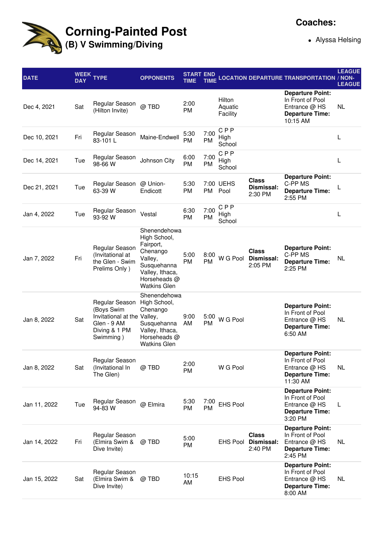

## **Corning-Painted Post (B) V Swimming/Diving**

## **Coaches:**

Alyssa Helsing

| <b>DATE</b>  | <b>WEEK</b><br><b>DAY</b> | <b>TYPE</b>                                                                                              | <b>OPPONENTS</b>                                                                                                                          | <b>START END</b><br>TIME |                   |                               |                                       | TIME LOCATION DEPARTURE TRANSPORTATION / NON-                                                        | <b>LEAGUE</b><br><b>LEAGUE</b> |
|--------------|---------------------------|----------------------------------------------------------------------------------------------------------|-------------------------------------------------------------------------------------------------------------------------------------------|--------------------------|-------------------|-------------------------------|---------------------------------------|------------------------------------------------------------------------------------------------------|--------------------------------|
| Dec 4, 2021  | Sat                       | Regular Season<br>(Hilton Invite)                                                                        | @ TBD                                                                                                                                     | 2:00<br><b>PM</b>        |                   | Hilton<br>Aquatic<br>Facility |                                       | <b>Departure Point:</b><br>In Front of Pool<br>Entrance $@$ HS<br><b>Departure Time:</b><br>10:15 AM | NL                             |
| Dec 10, 2021 | Fri                       | Regular Season<br>83-101L                                                                                | Maine-Endwell                                                                                                                             | 5:30<br><b>PM</b>        | 7:00<br><b>PM</b> | <b>CPP</b><br>High<br>School  |                                       |                                                                                                      | L                              |
| Dec 14, 2021 | Tue                       | Regular Season<br>98-66 W                                                                                | Johnson City                                                                                                                              | 6:00<br><b>PM</b>        | 7:00<br><b>PM</b> | <b>CPP</b><br>High<br>School  |                                       |                                                                                                      | L                              |
| Dec 21, 2021 | Tue                       | Regular Season<br>63-39 W                                                                                | @ Union-<br>Endicott                                                                                                                      | 5:30<br><b>PM</b>        | PM                | 7:00 UEHS<br>Pool             | <b>Class</b><br>Dismissal:<br>2:30 PM | <b>Departure Point:</b><br>C-PP MS<br><b>Departure Time:</b><br>2:55 PM                              | L                              |
| Jan 4, 2022  | Tue                       | Regular Season<br>93-92 W                                                                                | Vestal                                                                                                                                    | 6:30<br><b>PM</b>        | 7:00<br>PM        | <b>CPP</b><br>High<br>School  |                                       |                                                                                                      | L                              |
| Jan 7, 2022  | Fri                       | Regular Season<br>(Invitational at<br>the Glen - Swim<br>Prelims Only)                                   | Shenendehowa<br>High School,<br>Fairport,<br>Chenango<br>Valley,<br>Susquehanna<br>Valley, Ithaca,<br>Horseheads @<br><b>Watkins Glen</b> | 5:00<br><b>PM</b>        | 8:00<br><b>PM</b> | W G Pool                      | <b>Class</b><br>Dismissal:<br>2:05 PM | <b>Departure Point:</b><br>C-PP MS<br><b>Departure Time:</b><br>2:25 PM                              | NL.                            |
| Jan 8, 2022  | Sat                       | Regular Season<br>(Boys Swim<br>Invitational at the Valley,<br>Glen - 9 AM<br>Diving & 1 PM<br>Swimming) | Shenendehowa<br>High School,<br>Chenango<br>Susquehanna<br>Valley, Ithaca,<br>Horseheads @<br><b>Watkins Glen</b>                         | 9:00<br>AM               | 5:00<br><b>PM</b> | W G Pool                      |                                       | <b>Departure Point:</b><br>In Front of Pool<br>Entrance @ HS<br><b>Departure Time:</b><br>6:50 AM    | NL.                            |
| Jan 8, 2022  | Sat                       | Regular Season<br>(Invitational In<br>The Glen)                                                          | @ TBD                                                                                                                                     | 2:00<br>PM               |                   | W G Pool                      |                                       | <b>Departure Point:</b><br>In Front of Pool<br>Entrance @ HS<br><b>Departure Time:</b><br>11:30 AM   | <b>NL</b>                      |
| Jan 11, 2022 | Tue                       | Regular Season<br>94-83 W                                                                                | @ Elmira                                                                                                                                  | 5:30<br><b>PM</b>        | 7:00<br><b>PM</b> | <b>EHS Pool</b>               |                                       | <b>Departure Point:</b><br>In Front of Pool<br>Entrance @ HS<br><b>Departure Time:</b><br>3:20 PM    | L                              |
| Jan 14, 2022 | Fri                       | Regular Season<br>(Elmira Swim &<br>Dive Invite)                                                         | @ TBD                                                                                                                                     | 5:00<br>PM               |                   | <b>EHS Pool</b>               | <b>Class</b><br>Dismissal:<br>2:40 PM | <b>Departure Point:</b><br>In Front of Pool<br>Entrance @ HS<br><b>Departure Time:</b><br>2:45 PM    | NL.                            |
| Jan 15, 2022 | Sat                       | Regular Season<br>(Elmira Swim &<br>Dive Invite)                                                         | @ TBD                                                                                                                                     | 10:15<br>AM              |                   | <b>EHS Pool</b>               |                                       | <b>Departure Point:</b><br>In Front of Pool<br>Entrance @ HS<br><b>Departure Time:</b><br>8:00 AM    | NL.                            |